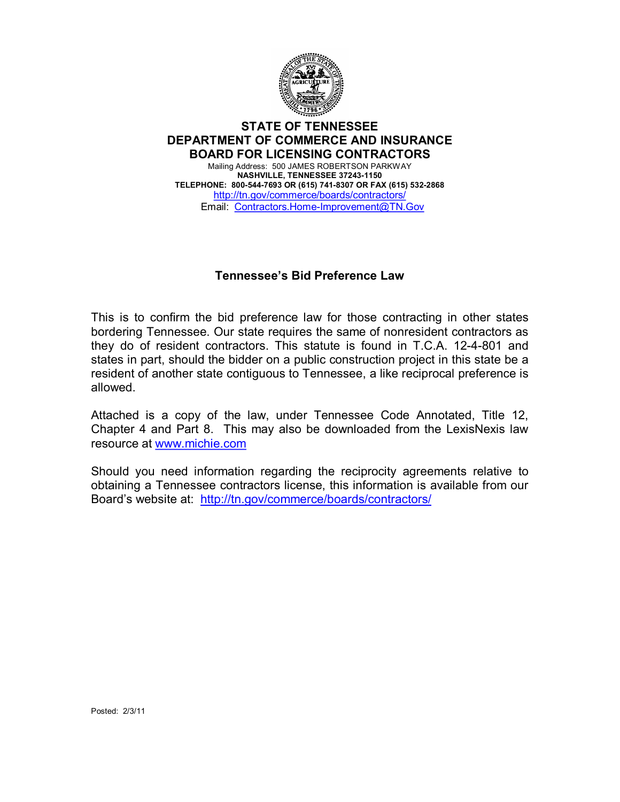

## **STATE OF TENNESSEE DEPARTMENT OF COMMERCE AND INSURANCE BOARD FOR LICENSING CONTRACTORS**

Mailing Address: 500 JAMES ROBERTSON PARKWAY **NASHVILLE, TENNESSEE 37243-1150 TELEPHONE: 8005447693 OR (615) 7418307 OR FAX (615) 5322868** <http://tn.gov/commerce/boards/contractors/> Email: Contractors.Home-Improvement@TN.Gov

## **Tennessee's Bid Preference Law**

This is to confirm the bid preference law for those contracting in other states bordering Tennessee. Our state requires the same of nonresident contractors as they do of resident contractors. This statute is found in T.C.A. 12-4-801 and states in part, should the bidder on a public construction project in this state be a resident of another state contiguous to Tennessee, a like reciprocal preference is allowed.

Attached is a copy of the law, under Tennessee Code Annotated, Title 12, Chapter 4 and Part 8. This may also be downloaded from the LexisNexis law resource at [www.michie.com](http://www.michie.com/)

Should you need information regarding the reciprocity agreements relative to obtaining a Tennessee contractors license, this information is available from our Board's website at: <http://tn.gov/commerce/boards/contractors/>